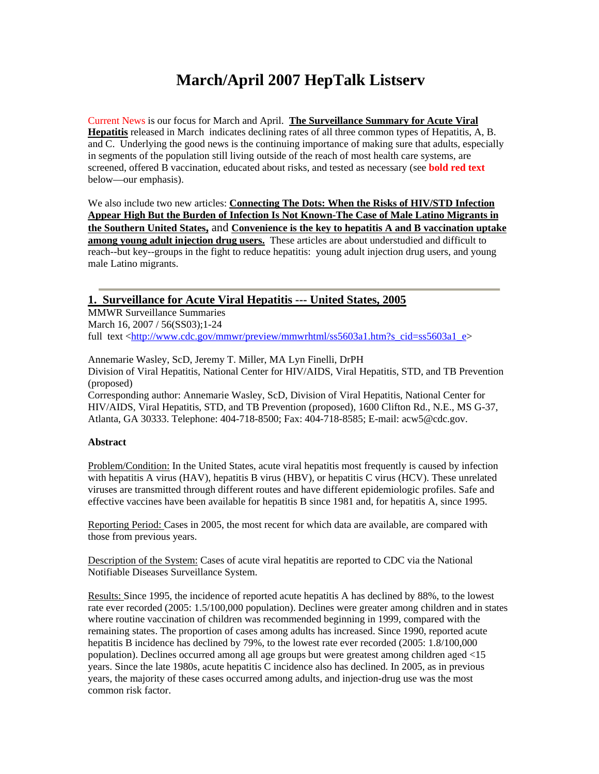# **March/April 2007 HepTalk Listserv**

Current News is our focus for March and April. **The Surveillance Summary for Acute Viral Hepatitis** released in March indicates declining rates of all three common types of Hepatitis, A, B. and C. Underlying the good news is the continuing importance of making sure that adults, especially in segments of the population still living outside of the reach of most health care systems, are screened, offered B vaccination, educated about risks, and tested as necessary (see **bold red text** below—our emphasis).

We also include two new articles: **Connecting The Dots: When the Risks of HIV/STD Infection Appear High But the Burden of Infection Is Not Known-The Case of Male Latino Migrants in the Southern United States,** and **Convenience is the key to hepatitis A and B vaccination uptake among young adult injection drug users.** These articles are about understudied and difficult to reach--but key--groups in the fight to reduce hepatitis: young adult injection drug users, and young male Latino migrants.

## **1. Surveillance for Acute Viral Hepatitis --- United States, 2005**

MMWR Surveillance Summaries March 16, 2007 / 56(SS03):1-24 full text <http://www.cdc.gov/mmwr/preview/mmwrhtml/ss5603a1.htm?s\_cid=ss5603a1\_e>

Annemarie Wasley, ScD, Jeremy T. Miller, MA Lyn Finelli, DrPH Division of Viral Hepatitis, National Center for HIV/AIDS, Viral Hepatitis, STD, and TB Prevention (proposed)

Corresponding author: Annemarie Wasley, ScD, Division of Viral Hepatitis, National Center for HIV/AIDS, Viral Hepatitis, STD, and TB Prevention (proposed), 1600 Clifton Rd., N.E., MS G-37, Atlanta, GA 30333. Telephone: 404-718-8500; Fax: 404-718-8585; E-mail: acw5@cdc.gov.

### **Abstract**

Problem/Condition: In the United States, acute viral hepatitis most frequently is caused by infection with hepatitis A virus (HAV), hepatitis B virus (HBV), or hepatitis C virus (HCV). These unrelated viruses are transmitted through different routes and have different epidemiologic profiles. Safe and effective vaccines have been available for hepatitis B since 1981 and, for hepatitis A, since 1995.

Reporting Period: Cases in 2005, the most recent for which data are available, are compared with those from previous years.

Description of the System: Cases of acute viral hepatitis are reported to CDC via the National Notifiable Diseases Surveillance System.

Results: Since 1995, the incidence of reported acute hepatitis A has declined by 88%, to the lowest rate ever recorded (2005: 1.5/100,000 population). Declines were greater among children and in states where routine vaccination of children was recommended beginning in 1999, compared with the remaining states. The proportion of cases among adults has increased. Since 1990, reported acute hepatitis B incidence has declined by 79%, to the lowest rate ever recorded (2005: 1.8/100,000 population). Declines occurred among all age groups but were greatest among children aged <15 years. Since the late 1980s, acute hepatitis C incidence also has declined. In 2005, as in previous years, the majority of these cases occurred among adults, and injection-drug use was the most common risk factor.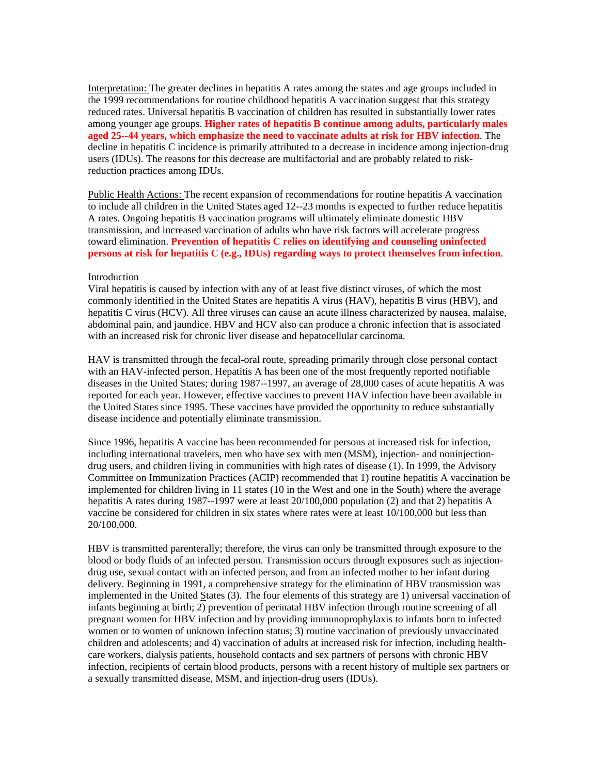Interpretation: The greater declines in hepatitis A rates among the states and age groups included in the 1999 recommendations for routine childhood hepatitis A vaccination suggest that this strategy reduced rates. Universal hepatitis B vaccination of children has resulted in substantially lower rates among younger age groups. **Higher rates of hepatitis B continue among adults, particularly males aged 25--44 years, which emphasize the need to vaccinate adults at risk for HBV infection**. The decline in hepatitis C incidence is primarily attributed to a decrease in incidence among injection-drug users (IDUs). The reasons for this decrease are multifactorial and are probably related to riskreduction practices among IDUs.

Public Health Actions: The recent expansion of recommendations for routine hepatitis A vaccination to include all children in the United States aged 12--23 months is expected to further reduce hepatitis A rates. Ongoing hepatitis B vaccination programs will ultimately eliminate domestic HBV transmission, and increased vaccination of adults who have risk factors will accelerate progress toward elimination. **Prevention of hepatitis C relies on identifying and counseling uninfected persons at risk for hepatitis C (e.g., IDUs) regarding ways to protect themselves from infection**.

#### Introduction

Viral hepatitis is caused by infection with any of at least five distinct viruses, of which the most commonly identified in the United States are hepatitis A virus (HAV), hepatitis B virus (HBV), and hepatitis C virus (HCV). All three viruses can cause an acute illness characterized by nausea, malaise, abdominal pain, and jaundice. HBV and HCV also can produce a chronic infection that is associated with an increased risk for chronic liver disease and hepatocellular carcinoma.

HAV is transmitted through the fecal-oral route, spreading primarily through close personal contact with an HAV-infected person. Hepatitis A has been one of the most frequently reported notifiable diseases in the United States; during 1987--1997, an average of 28,000 cases of acute hepatitis A was reported for each year. However, effective vaccines to prevent HAV infection have been available in the United States since 1995. These vaccines have provided the opportunity to reduce substantially disease incidence and potentially eliminate transmission.

Since 1996, hepatitis A vaccine has been recommended for persons at increased risk for infection, including international travelers, men who have sex with men (MSM), injection- and noninjectiondrug users, and children living in communities with high rates of disease (1). In 1999, the Advisory Committee on Immunization Practices (ACIP) recommended that 1) routine hepatitis A vaccination be implemented for children living in 11 states (10 in the West and one in the South) where the average hepatitis A rates during 1987--1997 were at least 20/100,000 population (2) and that 2) hepatitis A vaccine be considered for children in six states where rates were at least 10/100,000 but less than 20/100,000.

HBV is transmitted parenterally; therefore, the virus can only be transmitted through exposure to the blood or body fluids of an infected person. Transmission occurs through exposures such as injectiondrug use, sexual contact with an infected person, and from an infected mother to her infant during delivery. Beginning in 1991, a comprehensive strategy for the elimination of HBV transmission was implemented in the United States (3). The four elements of this strategy are 1) universal vaccination of infants beginning at birth; 2) prevention of perinatal HBV infection through routine screening of all pregnant women for HBV infection and by providing immunoprophylaxis to infants born to infected women or to women of unknown infection status; 3) routine vaccination of previously unvaccinated children and adolescents; and 4) vaccination of adults at increased risk for infection, including healthcare workers, dialysis patients, household contacts and sex partners of persons with chronic HBV infection, recipients of certain blood products, persons with a recent history of multiple sex partners or a sexually transmitted disease, MSM, and injection-drug users (IDUs).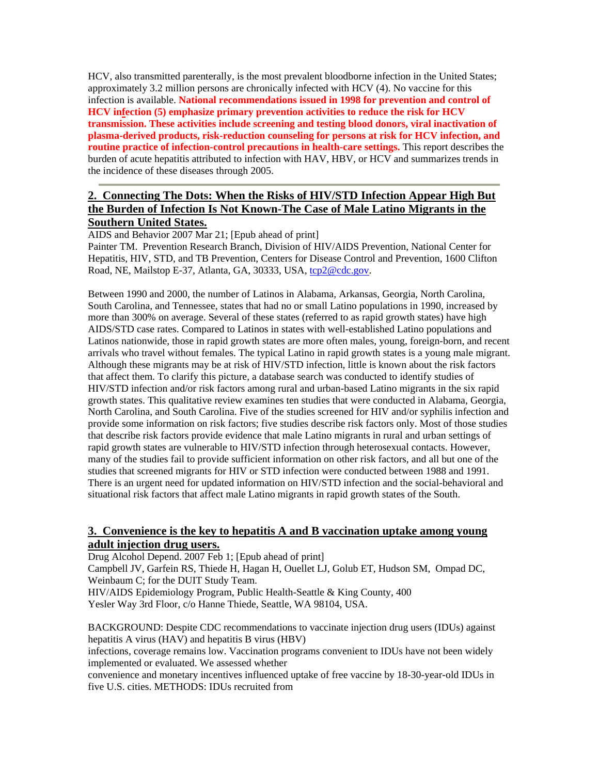HCV, also transmitted parenterally, is the most prevalent bloodborne infection in the United States; approximately 3.2 million persons are chronically infected with HCV (4). No vaccine for this infection is available. **National recommendations issued in 1998 for prevention and control of HCV infection (5) emphasize primary prevention activities to reduce the risk for HCV transmission. These activities include screening and testing blood donors, viral inactivation of plasma-derived products, risk-reduction counseling for persons at risk for HCV infection, and routine practice of infection-control precautions in health-care settings.** This report describes the burden of acute hepatitis attributed to infection with HAV, HBV, or HCV and summarizes trends in the incidence of these diseases through 2005.

# **2. Connecting The Dots: When the Risks of HIV/STD Infection Appear High But the Burden of Infection Is Not Known-The Case of Male Latino Migrants in the Southern United States.**

AIDS and Behavior 2007 Mar 21; [Epub ahead of print]

Painter TM. Prevention Research Branch, Division of HIV/AIDS Prevention, National Center for Hepatitis, HIV, STD, and TB Prevention, Centers for Disease Control and Prevention, 1600 Clifton Road, NE, Mailstop E-37, Atlanta, GA, 30333, USA, tcp2@cdc.gov.

Between 1990 and 2000, the number of Latinos in Alabama, Arkansas, Georgia, North Carolina, South Carolina, and Tennessee, states that had no or small Latino populations in 1990, increased by more than 300% on average. Several of these states (referred to as rapid growth states) have high AIDS/STD case rates. Compared to Latinos in states with well-established Latino populations and Latinos nationwide, those in rapid growth states are more often males, young, foreign-born, and recent arrivals who travel without females. The typical Latino in rapid growth states is a young male migrant. Although these migrants may be at risk of HIV/STD infection, little is known about the risk factors that affect them. To clarify this picture, a database search was conducted to identify studies of HIV/STD infection and/or risk factors among rural and urban-based Latino migrants in the six rapid growth states. This qualitative review examines ten studies that were conducted in Alabama, Georgia, North Carolina, and South Carolina. Five of the studies screened for HIV and/or syphilis infection and provide some information on risk factors; five studies describe risk factors only. Most of those studies that describe risk factors provide evidence that male Latino migrants in rural and urban settings of rapid growth states are vulnerable to HIV/STD infection through heterosexual contacts. However, many of the studies fail to provide sufficient information on other risk factors, and all but one of the studies that screened migrants for HIV or STD infection were conducted between 1988 and 1991. There is an urgent need for updated information on HIV/STD infection and the social-behavioral and situational risk factors that affect male Latino migrants in rapid growth states of the South.

## **3. Convenience is the key to hepatitis A and B vaccination uptake among young adult injection drug users.**

Drug Alcohol Depend. 2007 Feb 1; [Epub ahead of print] Campbell JV, Garfein RS, Thiede H, Hagan H, Ouellet LJ, Golub ET, Hudson SM, Ompad DC, Weinbaum C; for the DUIT Study Team. HIV/AIDS Epidemiology Program, Public Health-Seattle & King County, 400 Yesler Way 3rd Floor, c/o Hanne Thiede, Seattle, WA 98104, USA.

BACKGROUND: Despite CDC recommendations to vaccinate injection drug users (IDUs) against hepatitis A virus (HAV) and hepatitis B virus (HBV) infections, coverage remains low. Vaccination programs convenient to IDUs have not been widely implemented or evaluated. We assessed whether convenience and monetary incentives influenced uptake of free vaccine by 18-30-year-old IDUs in five U.S. cities. METHODS: IDUs recruited from